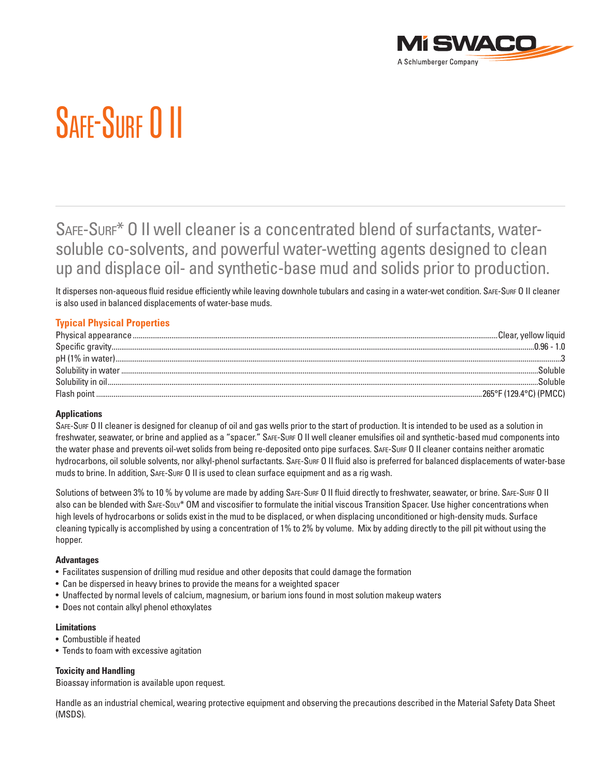

# SAFF-SURF O II

# SAFE-SURF\* O II well cleaner is a concentrated blend of surfactants, watersoluble co-solvents, and powerful water-wetting agents designed to clean up and displace oil- and synthetic-base mud and solids prior to production.

It disperses non-aqueous fluid residue efficiently while leaving downhole tubulars and casing in a water-wet condition. SAFE-SURF O II cleaner is also used in balanced displacements of water-base muds.

# **Typical Physical Properties**

| Soluble |
|---------|
|         |
|         |

## **Applications**

SAFE-SURF O II cleaner is designed for cleanup of oil and gas wells prior to the start of production. It is intended to be used as a solution in freshwater, seawater, or brine and applied as a "spacer." SAFE-SURF O II well cleaner emulsifies oil and synthetic-based mud components into the water phase and prevents oil-wet solids from being re-deposited onto pipe surfaces. SAFE-SURF O II cleaner contains neither aromatic hydrocarbons, oil soluble solvents, nor alkyl-phenol surfactants. SAFE-SURF O II fluid also is preferred for balanced displacements of water-base muds to brine. In addition, SAFE-SURF O II is used to clean surface equipment and as a rig wash.

Solutions of between 3% to 10 % by volume are made by adding SAFE-SURF O II fluid directly to freshwater, seawater, or brine. SAFE-SURF O II also can be blended with SAFE-SOLV\* OM and viscosifier to formulate the initial viscous Transition Spacer. Use higher concentrations when high levels of hydrocarbons or solids exist in the mud to be displaced, or when displacing unconditioned or high-density muds. Surface cleaning typically is accomplished by using a concentration of 1% to 2% by volume. Mix by adding directly to the pill pit without using the hopper.

#### **Advantages**

- •  Facilitates suspension of drilling mud residue and other deposits that could damage the formation
- Can be dispersed in heavy brines to provide the means for a weighted spacer
- •  Unaffected by normal levels of calcium, magnesium, or barium ions found in most solution makeup waters
- •  Does not contain alkyl phenol ethoxylates

## **Limitations**

- •  Combustible if heated
- Tends to foam with excessive agitation

#### **Toxicity and Handling**

Bioassay information is available upon request.

Handle as an industrial chemical, wearing protective equipment and observing the precautions described in the Material Safety Data Sheet (MSDS).